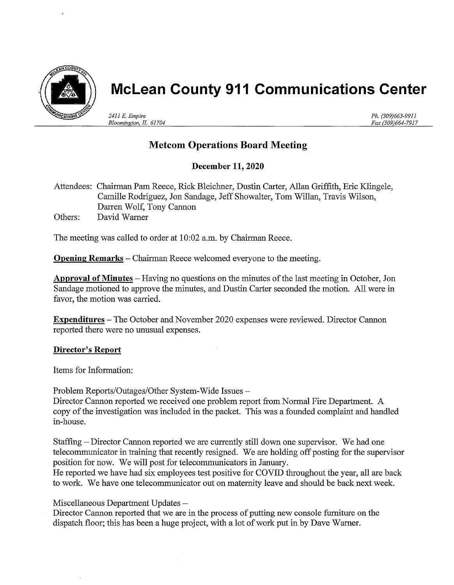

# McLean County 911 Communications Center

241l E. Empire Bloomington, IL 61704 Ph. (309)663-9911 Fax (309)664-7917

# Metcom Operations Board Meeting

## December ll, 2020

Attendees: Chairman Pam Reece, Rick Bleichner, Dustin Carter, Allan Griffith, Eric Klingele, Camille Rodriguez, Jon Sandage, Jeff Showalter, Tom Wiillan, Travis Wiilson, Darren Wolf, Tony Cannon Others: David Warner

The meeting was called to order at 10:02 a.m. by Chairman Reece.

**Opening Remarks** – Chairman Reece welcomed everyone to the meeting.

Approval of Minutes - Having no questions on the minutes of the last meeting in October, Jon Sandage motioned to approve the minutes, and Dustin Carter seconded the motion. All were in favor, the motion was carried.

**Expenditures** – The October and November 2020 expenses were reviewed. Director Cannon reported there were no unusual expenses.

### Director's Report

Items for Information:

Problem Reports/Outages/Other System-Wide Issues -

Director Cannon reported we received one problem report from Normal Fire Department. A copy of the investigation was included in the packet. This was a founded complaint and handled in-house.

Staffing – Director Cannon reported we are currently still down one supervisor. We had one telecommunicator in training that recently resigned. We are holding off posting for the supervisor position for now. We will post for telecommunicators in January.

He reported we have had six employees test positive for COVID throughout the year, all are back to work. We have one telecommunicator out on matemity leave and should be back next week.

Miscellaneous Department Updates -

Director Cannon reported that we are in the process of putting new console furniture on the dispatch floor; this has been a huge project, with a lot of work put in by Dave Wamer.